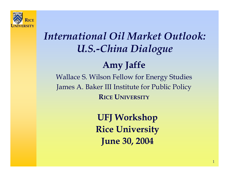

## *International Oil Market Outlook: U.S.-China Dialogue*

### **Amy Jaffe**

Wallace S. Wilson Fellow for Energy Studies James A. Baker III Institute for Public Policy **RICE UNIVERSITY**

> **UFJ Workshop Rice University June 30, 2004**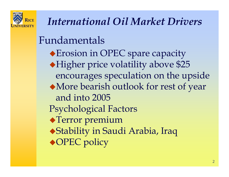

Fundamentals Erosion in OPEC spare capacity Higher price volatility above \$25 encourages speculation on the upside More bearish outlook for rest of year and into 2005Psychological Factors Terror premium Stability in Saudi Arabia, Iraq ◆OPEC policy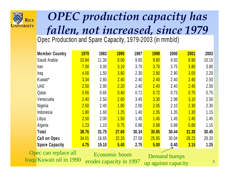

# *OPEC production capacity has fallen, not increased, since 1979*<br>Opec Production and Spare Capacity, 1979-2003 (in mmb/d)

| <b>Member Country</b> | <b>1979</b> | 1983  | <b>1990</b> | 1997  | 1998  | 2000  | 2001  | 2003  |
|-----------------------|-------------|-------|-------------|-------|-------|-------|-------|-------|
| Saudi Arabia          | 10.84       | 11.30 | 8.00        | 9.65  | 9.80  | 9.50  | 9.90  | 10.15 |
| Iran                  | 7.00        | 3.00  | 3.10        | 3.70  | 3.70  | 3.75  | 3.80  | 3.80  |
| Iraq                  | 4.00        | 1.50  | 3.60        | 2.30  | 2.80  | 2.90  | 3.05  | 2.20  |
| Kuwait*               | 3.34        | 2.80  | 2.40        | 2.40  | 2.40  | 2.40  | 2.40  | 2.50  |
| <b>UAE</b>            | 2.50        | 2.90  | 2.20        | 2.40  | 2.40  | 2.40  | 2.45  | 2.50  |
| Qatar                 | 0.65        | 0.65  | 0.40        | 0.71  | 0.72  | 0.73  | 0.75  | 0.75  |
| Venezuela             | 2.40        | 2.50  | 2.60        | 3.45  | 3.30  | 2.98  | 3.10  | 2.50  |
| Nigeria               | 2.50        | 2.40  | 1.80        | 2.00  | 2.05  | 2.10  | 2.30  | 2.30  |
| Indonesia             | 1.80        | 1.60  | 1.25        | 1.40  | 1.35  | 1.35  | 1.30  | 1.15  |
| Libya                 | 2.50        | 2.00  | 1.50        | 1.45  | 1.45  | 1.45  | 1.45  | 1.45  |
| Algeria               | 1.23        | 1.10  | 0.75        | 0.88  | 0.88  | 0.88  | 0.88  | 1.15  |
| Total                 | 38.76       | 31.75 | 27.60       | 30.34 | 30.85 | 30.44 | 31.38 | 30.45 |
| <b>Call on Opec</b>   | 34.01       | 16.65 | 22.20       | 27.59 | 25.85 | 30.04 | 28.23 | 29.20 |
| <b>Spare Capacity</b> | 4.75        | 15.10 | 5.40        | 2.75  | 5.00  | 0.40  | 3.15  | 1.25  |

Opec can replace all Iraqi/Kuwait oil in 1990

Economic boomerodes capacity in 1997

Demand bumps up against capacity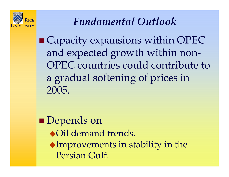

## *Fundamental Outlook*

 Capacity expansions within OPEC and expected growth within non-OPEC countries could contribute to a gradual softening of prices in 2005.

**Depends on** Oil demand trends. Improvements in stability in the Persian Gulf.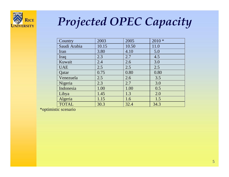

# *Projected OPEC Capacity*

| Country      | 2003  | 2005  | $2010*$ |
|--------------|-------|-------|---------|
| Saudi Arabia | 10.15 | 10.50 | 11.0    |
| Iran         | 3.80  | 4.10  | 5.0     |
| Iraq         | 2.3   | 2.7   | 4.5     |
| Kuwait       | 2.4   | 2.6   | 3.0     |
| <b>UAE</b>   | 2.5   | 2.5   | 2.5     |
| Qatar        | 0.75  | 0.80  | 0.80    |
| Venezuela    | 2.5   | 2.6   | 3.5     |
| Nigeria      | 2.3   | 2.7   | 3.0     |
| Indonesia    | 1.00  | 1.00  | 0.5     |
| Libya        | 1.45  | 1.3   | 2.0     |
| Algeria      | 1.15  | 1.6   | 1.5     |
| <b>TOTAL</b> | 30.3  | 32.4  | 34.3    |

\*optimistic scenario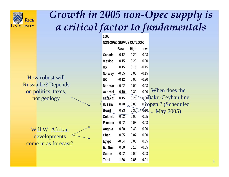

### *Growth in 2005 non-Opec supply is a critical factor to fundamentals*

How robust willRussia be? Depends on politics, taxes, not geology

Will W. Africandevelopments come in as forecast?

| 2005                    |             |      |         |                        |
|-------------------------|-------------|------|---------|------------------------|
| NON-OPEC SUPPLY OUTLOOK |             |      |         |                        |
|                         | <b>Base</b> | High | Low     |                        |
| Canada                  | 0.12        | 0.20 | 0.08    |                        |
| <b>Mexico</b>           | 0.15        | 0.20 | 0.00    |                        |
| <b>US</b>               | 0.15        | 0.15 | $-0.15$ |                        |
| Norway                  | $-0.05$     | 0.00 | $-0.15$ |                        |
| UK                      | $-0.12$     | 0.00 | $-0.20$ |                        |
| Denmar                  | $-0.02$     | 0.00 | $-0.03$ |                        |
| <b>Azerbai</b>          | 0.10        | 0.30 | 0.00    | When does the          |
| Kazakh:                 | 0.15        | 0.25 |         | 0.00Baku-Ceyhan line   |
| <b>Russia</b>           | 0.40        | 0.80 |         | 0.25 open ? (Scheduled |
| <b>Brazil</b>           | 0.23        | 0.30 | IHO.    | May 2005)              |
| Colomb                  | $-0.02$     | 0.00 | $-0.05$ |                        |
| <b>Ecuador</b>          | $-0.02$     | 0.03 | $-0.03$ |                        |
| Angola                  | 0.30        | 0.40 | 0.20    |                        |
| Chad                    | 0.05        | 0.07 | 0.00    |                        |
| <b>Egypt</b>            | $-0.04$     | 0.00 | 0.05    |                        |
| Eq. Guir                | 0.00        | 0.15 | $-0.05$ |                        |
| Gabon                   | $-0.02$     | 0.00 | $-0.03$ |                        |
| Total                   | 1.36        | 2.85 | $-0.01$ |                        |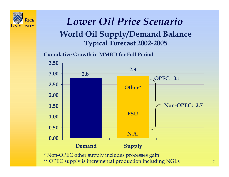

### *Lower Oil Price Scenario* **World Oil Supply/Demand Balance Typical Forecast 2002-2005**

**Cumulative Growth in MMBD for Full Period**



7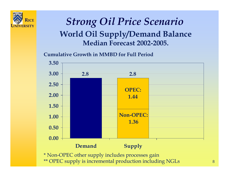

### *Strong Oil Price Scenario* **World Oil Supply/Demand Balance Median Forecast 2002-2005.**

**Cumulative Growth in MMBD for Full Period**

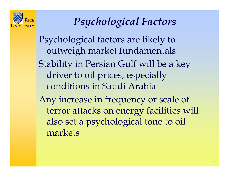

## *Psychological Factors*

Psychological factors are likely to outweigh market fundamentals Stability in Persian Gulf will be a key driver to oil prices, especially conditions in Saudi Arabia Any increase in frequency or scale of terror attacks on energy facilities will also set a psychological tone to oil markets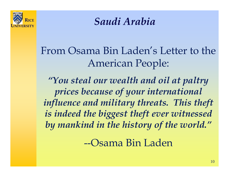

*Saudi Arabia*

From Osama Bin Laden's Letter to the American People:

*"You steal our wealth and oil at paltry prices because of your international influence and military threats. This theft is indeed the biggest theft ever witnessed by mankind in the history of the world."*

--Osama Bin Laden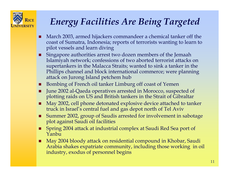

### *Energy Facilities Are Being Targeted*

- п March 2003, armed hijackers commandeer a chemical tanker off the coast of Sumatra, Indonesia; reports of terrorists wanting to learn to pilot vessels and learn diving
- П Singapore authorities arrest two dozen members of the Jemaah Islamiyah network; confessions of two aborted terrorist attacks on supertankers in the Malacca Straits; wanted to sink a tanker in the Phillips channel and block international commerce; were planning attack on Jurong Island petchem hub
- ш Bombing of French oil tanker Limburg off coast of Yemen
- п June 2002 al-Qaeda operatives arrested in Morocco, suspected of plotting raids on US and British tankers in the Strait of Gibraltar
- п May 2002, cell phone detonated explosive device attached to tanker truck in Israel's central fuel and gas depot north of Tel Aviv
- п Summer 2002, group of Saudis arrested for involvement in sabotage plot against Saudi oil facilities
- п Spring 2004 attack at industrial complex at Saudi Red Sea port of Yanbu
- п ■ May 2004 bloody attack on residential compound in Khobar, Saudi Arabia shakes expatriate community, including those working in oil industry, exodus of personnel begins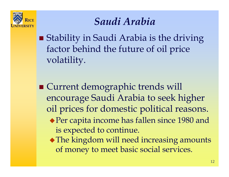

### *Saudi Arabia*

**Stability in Saudi Arabia is the driving** factor behind the future of oil price volatility.

■ Current demographic trends will encourage Saudi Arabia to seek higher oil prices for domestic political reasons.

- Per capita income has fallen since 1980 and is expected to continue.
- The kingdom will need increasing amounts of money to meet basic social services.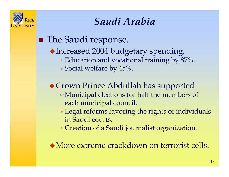

### *Saudi Arabia*

**The Saudi response.** Increased 2004 budgetary spending.  $\bullet$  Education and vocational training by 87%.  $\bullet$  Social welfare by 45%. Crown Prince Abdullah has supported )Municipal elections for half the members of each municipal council. ) Legal reforms favoring the rights of individuals in Saudi courts. ) Creation of a Saudi journalist organization.

More extreme crackdown on terrorist cells.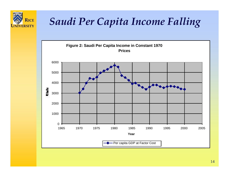

### *Saudi Per Capita Income Falling*

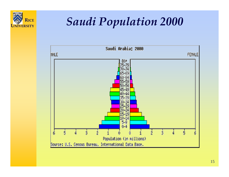

# *Saudi Population 2000*

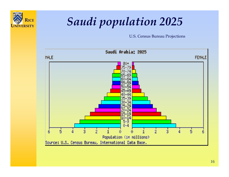

# *Saudi population 2025*

U.S. Census Bureau Projections

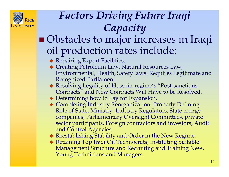

## *Factors Driving Future Iraqi Capacity*

#### **Obstacles to major increases in Iraqi** oil production rates include:

- Repairing Export Facilities.
- Creating Petroleum Law, Natural Resources Law, Environmental, Health, Safety laws: Requires Legitimate and Recognized Parliament.
- Resolving Legality of Hussein-regime's "Post-sanctions Contracts" and New Contracts Will Have to be Resolved.
- Determining how to Pay for Expansion.
- Completing Industry Reorganization: Properly Defining Role of State, Ministry, Industry Regulators, State e nergy companies, Parliamentary Oversight Committees, private sector participants, Foreign contractors and investors, Audit and Control Agencies.

Reestablishing Stability and Order in the New Regime.

 Retaining Top Iraqi Oil Technocrats, Instituting Suitable Management Structure and Recruiting and Training New, Young Technicians and Managers.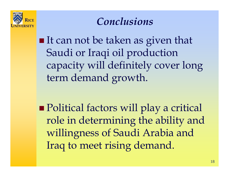

### *Conclusions*

**If can not be taken as given that** Saudi or Iraqi oil production capacity will definitely cover long term demand growth.

■ Political factors will play a critical role in determining the ability and willingness of Saudi Arabia and Iraq to meet rising demand.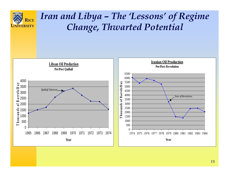

### *Iran and Libya – The 'Lessons' of Regime Change, Thwarted Potential*

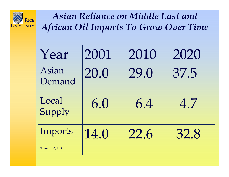

*Asian Reliance on Middle East and African Oil Imports To Grow Over Time*

| Year             | 2001 | 2010 | 2020 |
|------------------|------|------|------|
| Asian<br>Demand  | 20.0 | 29.0 | 37.5 |
| Local<br>Supply  | 6.0  | 6.4  | 4.7  |
| Imports          | 14.0 | 22.6 | 32.8 |
| Source: IEA, EIG |      |      |      |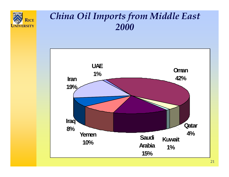

### *China Oil Imports from Middle East 2000*

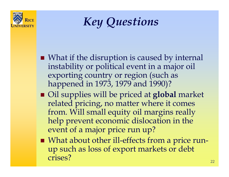

*Key Questions* 

- What if the disruption is caused by internal instability or political event in a major oil exporting country or region (such as happened in 1973, 1979 and 1990)?
- Oil supplies will be priced at **global** market related pricing, no matter where it comes from. Will small equity oil margins really help prevent economic dislocation in the event of a major price run up?
- What about other ill-effects from a price runup such as loss of export markets or debt crises?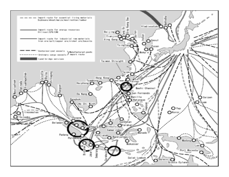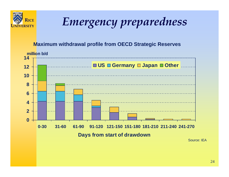

# *Emergency preparedness*

#### **Maximum withdrawal profile from OECD Strategic Reserves**

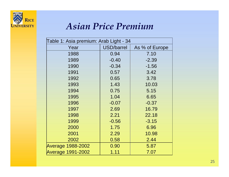

### *Asian Price Premium*

| Table 1: Asia premium: Arab Light - 34 |                   |                |  |  |  |
|----------------------------------------|-------------------|----------------|--|--|--|
| Year                                   | <b>USD/barrel</b> | As % of Europe |  |  |  |
| 1988                                   | 0.94              | 7.10           |  |  |  |
| 1989                                   | $-0.40$           | $-2.39$        |  |  |  |
| 1990                                   | $-0.34$           | $-1.56$        |  |  |  |
| 1991                                   | 0.57              | 3.42           |  |  |  |
| 1992                                   | 0.65              | 3.78           |  |  |  |
| 1993                                   | 1.43              | 10.03          |  |  |  |
| 1994                                   | 0.75              | 5.15           |  |  |  |
| 1995                                   | 1.04              | 6.65           |  |  |  |
| 1996                                   | $-0.07$           | $-0.37$        |  |  |  |
| 1997                                   | 2.69              | 16.79          |  |  |  |
| 1998                                   | 2.21              | 22.18          |  |  |  |
| 1999                                   | $-0.56$           | $-3.15$        |  |  |  |
| 2000                                   | 1.75              | 6.96           |  |  |  |
| 2001                                   | 2.29              | 10.98          |  |  |  |
| 2002                                   | 0.58              | 2.44           |  |  |  |
| <b>Average 1988-2002</b>               | 0.90              | 5.87           |  |  |  |
| <b>Average 1991-2002</b>               | 1.11              | 7.07           |  |  |  |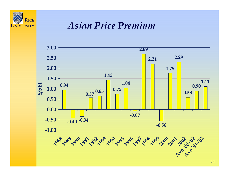

### *Asian Price Premium*

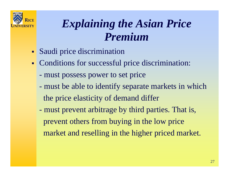

## *Explaining the Asian Price Premium*

- $\blacksquare$ Saudi price discrimination
- $\blacksquare$  Conditions for successful price discrimination:
	- must possess power to set price
	- must be able to identify separate markets in which the price elasticity of demand differ
	- $\mathcal{L}^{\text{max}}_{\text{max}}$ - must prevent arbitrage by third parties. That is, prevent others from buying in the low price market and reselling in the higher priced market.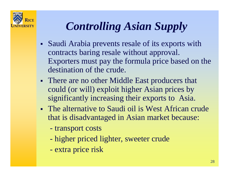

# *Controlling Asian Supply*

- **Service Service**  Saudi Arabia prevents resale of its exports with contracts baring resale without approval. Exporters must pay the formula price based on the destination of the crude.
- Ŧ • There are no other Middle East producers that could (or will) exploit higher Asian prices by significantly increasing their exports to Asia.
- The alternative to Saudi oil is West African crude that is disadvantaged in Asian market because:
	- transport costs
	- higher priced lighter, sweeter crude
	- extra price risk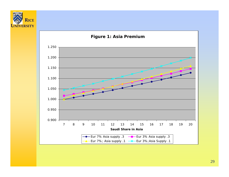

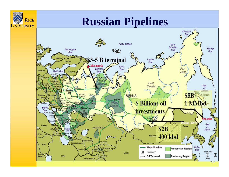

## **Russian Pipelines**

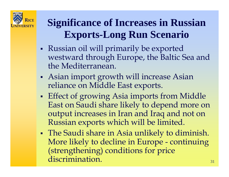

## **Significance of Increases in Russian Exports-Long Run Scenario**

- **Service Service**  Russian oil will primarily be exported westward through Europe, the Baltic Sea and the Mediterranean.
- **Service Service**  Asian import growth will increase Asian reliance on Middle East exports.
- Ξ **Effect of growing Asia imports from Middle** East on Saudi share likely to depend more on output increases in Iran and Iraq and not on Russian exports which will be limited.
- Ξ The Saudi share in Asia unlikely to diminish. More likely to decline in Europe - continuing (strengthening) conditions for price discrimination.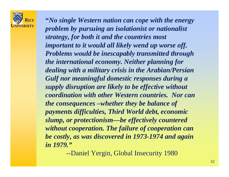

**"***No single Western nation can cope with the energy problem by pursuing an isolationist or nationalist strategy, for both it and the countries most important to it would all likely wend up worse off. Problems would be inescapably transmitted through the international economy. Neither planning for dealing with a military crisis in the Arabian/Persian Gulf nor meaningful domestic responses during a supply disruption are likely to be effective without coordination with other Western countries. Nor can the consequences –whether they be balance of payments difficulties, Third World debt, economic slump, or protectionism—be effectively countered without cooperation. The failure of cooperation can be costly, as was discovered in 1973-1974 and again in 1979."*

--Daniel Yergin, Global Insecurity 1980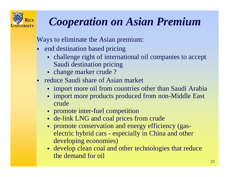

## *Cooperation on Asian Premium*

Ways to eliminate the Asian premium:

- end destination based pricing
	- challenge right of international oil companies to accept Saudi destination pricing
	- change marker crude?
- reduce Saudi share of Asian market
	- import more oil from countries other than Saudi Arabia
	- import more products produced from non-Middle East crude
	- promote inter-fuel competition
	- de-link LNG and coal prices from crude
	- promote conservation and energy efficiency (gaselectric hybrid cars - especially in China and other developing economies)
	- develop clean coal and other technologies that reduce the demand for oil